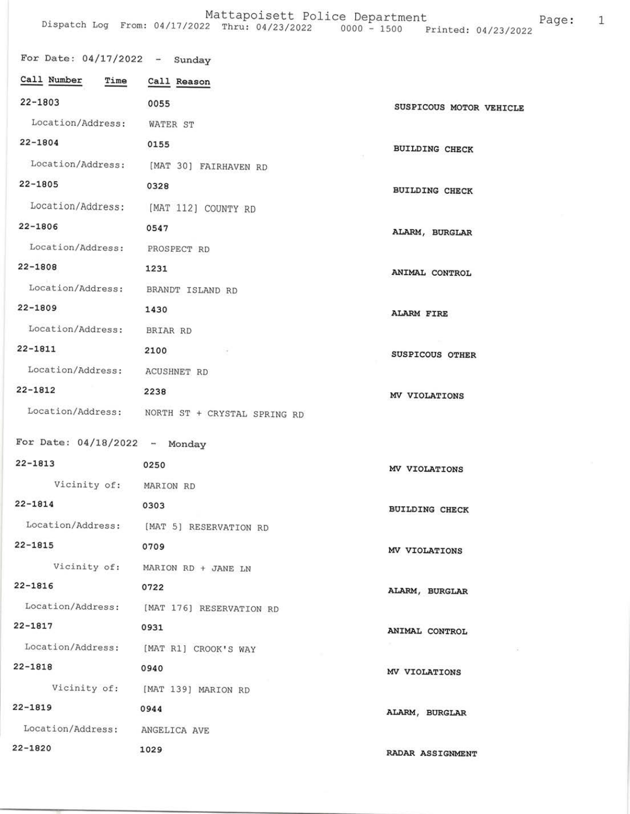## Mattapoisett Police Department<br>Dispatch Log From: 04/17/2022 Thru: 04/23/2022 0000 - 1500 Printed: 04/23/2022 Page: 1

| For Date: $04/17/2022 -$ Sunday |                                                |                         |
|---------------------------------|------------------------------------------------|-------------------------|
| Call Number<br>Time             | Call Reason                                    |                         |
| $22 - 1803$                     | 0055                                           | SUSPICOUS MOTOR VEHICLE |
| Location/Address: WATER ST      |                                                |                         |
| $22 - 1804$                     | 0155                                           | <b>BUILDING CHECK</b>   |
|                                 | Location/Address: [MAT 30] FAIRHAVEN RD        |                         |
| 22-1805                         | 0328                                           | <b>BUILDING CHECK</b>   |
|                                 | Location/Address: [MAT 112] COUNTY RD          |                         |
| $22 - 1806$                     | 0547                                           | ALARM, BURGLAR          |
| Location/Address: PROSPECT RD   |                                                |                         |
| 22-1808                         | 1231                                           | ANIMAL CONTROL          |
| Location/Address:               | BRANDT ISLAND RD                               |                         |
| $22 - 1809$                     | 1430                                           | <b>ALARM FIRE</b>       |
| Location/Address:               | BRIAR RD                                       |                         |
| 22-1811                         | 2100<br>$\sim$ 100 $\mu$                       | SUSPICOUS OTHER         |
| Location/Address:               | ACUSHNET RD                                    |                         |
| $22 - 1812$                     | 2238                                           | MV VIOLATIONS           |
|                                 | Location/Address: NORTH ST + CRYSTAL SPRING RD |                         |
| For Date: $04/18/2022 -$ Monday |                                                |                         |
| $22 - 1813$                     | 0250                                           |                         |
| Vicinity of: MARION RD          |                                                | MV VIOLATIONS           |
| $22 - 1814$                     | 0303                                           |                         |
|                                 | Location/Address: [MAT 5] RESERVATION RD       | <b>BUILDING CHECK</b>   |
| $22 - 1815$                     | 0709                                           |                         |
| Vicinity of:                    | MARION RD + JANE LN                            | MV VIOLATIONS           |
| $22 - 1816$                     | 0722                                           |                         |
| Location/Address:               | [MAT 176] RESERVATION RD                       | ALARM, BURGLAR          |
| 22-1817                         | 0931                                           | ANIMAL CONTROL          |
| Location/Address:               | [MAT R1] CROOK'S WAY                           |                         |
| 22-1818                         | 0940                                           | MV VIOLATIONS           |
|                                 | Vicinity of: [MAT 139] MARION RD               |                         |
| $22 - 1819$                     | 0944                                           | ALARM, BURGLAR          |
| Location/Address:               | ANGELICA AVE                                   |                         |
| $22 - 1820$                     | 1029                                           | RADAR ASSIGNMENT        |
|                                 |                                                |                         |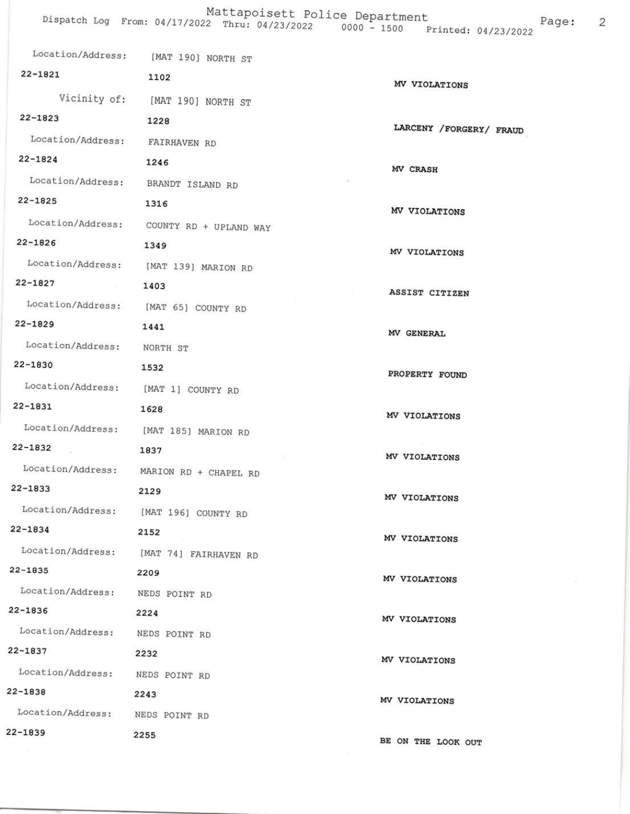|                                            | Location/Address: [MAT 190] NORTH ST     |                         |
|--------------------------------------------|------------------------------------------|-------------------------|
| 22-1821                                    | 1102                                     | MV VIOLATIONS           |
|                                            | Vicinity of: [MAT 190] NORTH ST          |                         |
| $22 - 1823$                                | 1228                                     | LARCENY /FORGERY/ FRAUD |
| Location/Address: FAIRHAVEN RD             |                                          |                         |
| $22 - 1824$                                | 1246                                     | MV CRASH                |
|                                            | Location/Address: BRANDT ISLAND RD       |                         |
| 22-1825                                    | 1316                                     | MV VIOLATIONS           |
|                                            | Location/Address: COUNTY RD + UPLAND WAY |                         |
| $22 - 1826$                                | 1349                                     | MV VIOLATIONS           |
|                                            | Location/Address: [MAT 139] MARION RD    |                         |
| 22-1827 1403                               |                                          | ASSIST CITIZEN          |
|                                            | Location/Address: [MAT 65] COUNTY RD     |                         |
| $22 - 1829$                                | 1441                                     | MV GENERAL              |
| Location/Address: NORTH ST                 |                                          |                         |
| 22-1830                                    | 1532                                     | PROPERTY FOUND          |
|                                            | Location/Address: [MAT 1] COUNTY RD      |                         |
| 22-1831                                    | 1628                                     | MV VIOLATIONS           |
|                                            | Location/Address: [MAT 185] MARION RD    |                         |
| 22-1832                                    | 1837                                     | MV VIOLATIONS           |
|                                            | Location/Address: MARION RD + CHAPEL RD  |                         |
| $22 - 1833$                                | 2129                                     | MV VIOLATIONS           |
|                                            | Location/Address: [MAT 196] COUNTY RD    |                         |
| $22 - 1834$                                | 2152                                     | MV VIOLATIONS           |
|                                            | Location/Address: [MAT 74] FAIRHAVEN RD  |                         |
| 22-1835                                    | 2209                                     | MV VIOLATIONS           |
| Location/Address: NEDS POINT RD            |                                          |                         |
| 22-1836                                    | 2224                                     | MV VIOLATIONS           |
| Location/Address: NEDS POINT RD<br>22-1837 |                                          |                         |
|                                            | 2232                                     | MV VIOLATIONS           |
| Location/Address: NEDS POINT RD<br>22-1838 |                                          |                         |
| Location/Address: NEDS POINT RD            | 2243                                     | MV VIOLATIONS           |
| $22 - 1839$                                | 2255                                     |                         |
|                                            |                                          | BE ON THE LOOK OUT      |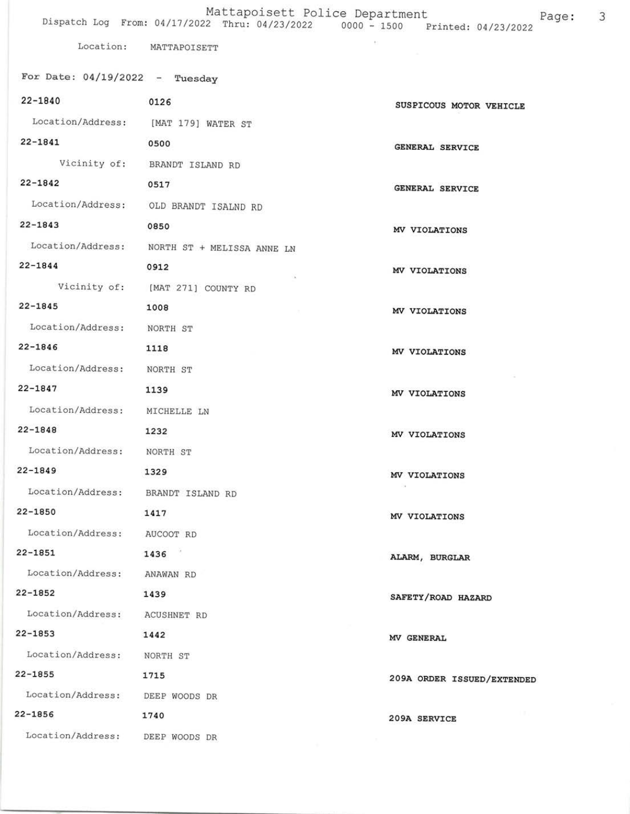## Mattapoisett Police Department<br>Dispatch Log From: 04/17/2022 Thru: 04/23/2022 0000 - 1500 Printed: 04/23/2022  $\overline{\mathbf{3}}$

 $\left\langle \cdot \right\rangle$ 

Location: MATTAPOISETT

| For Date: $04/19/2022 -$ Tuesday   |                                              |                            |
|------------------------------------|----------------------------------------------|----------------------------|
| $22 - 1840$                        | 0126                                         | SUSPICOUS MOTOR VEHICLE    |
|                                    | Location/Address: [MAT 179] WATER ST         |                            |
| $22 - 1841$                        | 0500                                         | GENERAL SERVICE            |
|                                    | Vicinity of: BRANDT ISLAND RD                |                            |
| $22 - 1842$                        | 0517                                         | GENERAL SERVICE            |
|                                    | Location/Address: OLD BRANDT ISALND RD       |                            |
| $22 - 1843$                        | 0850                                         | MV VIOLATIONS              |
|                                    | Location/Address: NORTH ST + MELISSA ANNE LN |                            |
| $22 - 1844$                        | 0912                                         | MV VIOLATIONS              |
|                                    | Vicinity of: [MAT 271] COUNTY RD             |                            |
| $22 - 1845$                        | 1008                                         | MV VIOLATIONS              |
| Location/Address: NORTH ST         |                                              |                            |
| 22-1846                            | 1118                                         | MV VIOLATIONS              |
| Location/Address: NORTH ST         |                                              |                            |
| 22-1847                            | 1139                                         | MV VIOLATIONS              |
| Location/Address: MICHELLE LN      |                                              |                            |
| 22-1848                            | 1232                                         | MV VIOLATIONS              |
| Location/Address: NORTH ST         |                                              |                            |
| $22 - 1849$                        | 1329                                         | MV VIOLATIONS              |
| Location/Address: BRANDT ISLAND RD |                                              |                            |
| $22 - 1850$                        | 1417                                         | MV VIOLATIONS              |
| Location/Address:                  | AUCOOT RD                                    |                            |
| $22 - 1851$                        | 1436                                         | ALARM, BURGLAR             |
| Location/Address:                  | ANAWAN RD                                    |                            |
| $22 - 1852$                        | 1439                                         | SAFETY/ROAD HAZARD         |
| Location/Address:                  | ACUSHNET RD                                  |                            |
| $22 - 1853$                        | 1442                                         | MV GENERAL                 |
| Location/Address:                  | NORTH ST                                     |                            |
| $22 - 1855$                        | 1715                                         | 209A ORDER ISSUED/EXTENDED |
| Location/Address: DEEP WOODS DR    |                                              |                            |
| $22 - 1856$                        | 1740                                         | 209A SERVICE               |
| Location/Address: DEEP WOODS DR    |                                              |                            |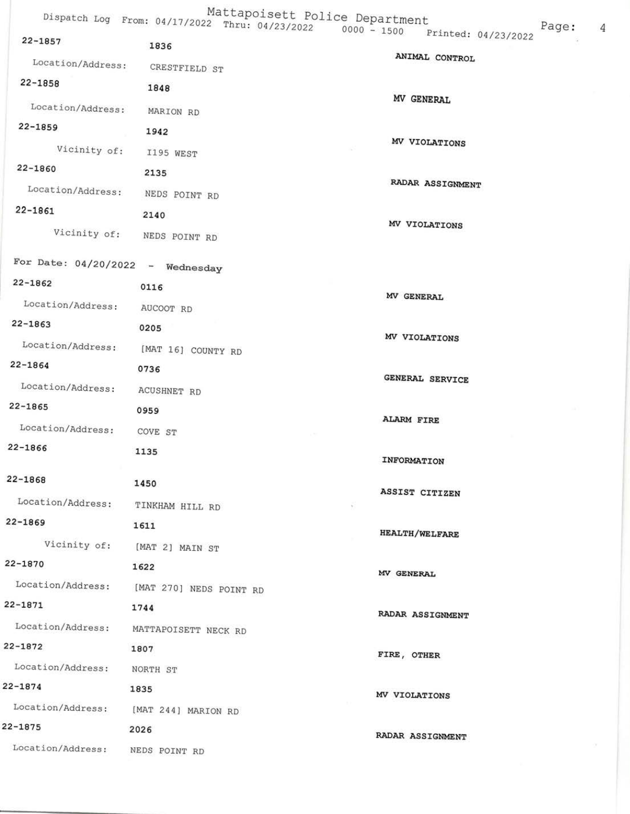|                                                   |                              | Mattapoisett Police Department<br>Dispatch Log From: 04/17/2022 Thru: 04/23/2022 0000 - 1500 Printed: 04/23/2022<br>Page: |
|---------------------------------------------------|------------------------------|---------------------------------------------------------------------------------------------------------------------------|
| $22 - 1857$                                       | 1836                         | 4                                                                                                                         |
| Location/Address:                                 | CRESTFIELD ST                | ANIMAL CONTROL                                                                                                            |
| $22 - 1858$                                       | 1848                         |                                                                                                                           |
| Location/Address:                                 | MARION RD                    | MV GENERAL                                                                                                                |
| $22 - 1859$                                       | 1942                         |                                                                                                                           |
| Vicinity of:                                      | I195 WEST                    | MV VIOLATIONS                                                                                                             |
| $22 - 1860$                                       | 2135                         |                                                                                                                           |
| Location/Address:                                 | NEDS POINT RD                | RADAR ASSIGNMENT                                                                                                          |
| $22 - 1861$                                       | 2140                         |                                                                                                                           |
|                                                   | Vicinity of: NEDS POINT RD   | MV VIOLATIONS                                                                                                             |
|                                                   |                              |                                                                                                                           |
| For Date: $04/20/2022 -$ Wednesday<br>$22 - 1862$ |                              |                                                                                                                           |
|                                                   | 0116                         | MV GENERAL                                                                                                                |
| Location/Address:<br>$22 - 1863$                  | AUCOOT RD                    |                                                                                                                           |
| Location/Address:                                 | 0205                         | MV VIOLATIONS                                                                                                             |
| $22 - 1864$                                       | [MAT 16] COUNTY RD           |                                                                                                                           |
| Location/Address:                                 | 0736                         | GENERAL SERVICE                                                                                                           |
| $22 - 1865$                                       | <b>ACUSHNET RD</b>           |                                                                                                                           |
| Location/Address:                                 | 0959                         | <b>ALARM FIRE</b>                                                                                                         |
| $22 - 1866$                                       | COVE ST<br>1135              |                                                                                                                           |
|                                                   |                              | <b>INFORMATION</b>                                                                                                        |
| $22 - 1868$                                       | 1450                         | ASSIST CITIZEN                                                                                                            |
| Location/Address:                                 | TINKHAM HILL RD              | $\mathcal{H}$ :                                                                                                           |
| $22 - 1869$                                       | 1611                         | <b>HEALTH/WELFARE</b>                                                                                                     |
|                                                   | Vicinity of: [MAT 2] MAIN ST |                                                                                                                           |
| 22-1870                                           | 1622                         | MV GENERAL                                                                                                                |
| Location/Address: [MAT 270] NEDS POINT RD         |                              |                                                                                                                           |
| 22-1871                                           | 1744                         | RADAR ASSIGNMENT                                                                                                          |
| Location/Address:                                 | MATTAPOISETT NECK RD         |                                                                                                                           |
| $22 - 1872$                                       | 1807                         | FIRE, OTHER                                                                                                               |
| Location/Address:                                 | NORTH ST                     |                                                                                                                           |
| $22 - 1874$                                       | 1835                         | MV VIOLATIONS                                                                                                             |
| Location/Address: [MAT 244] MARION RD             |                              |                                                                                                                           |
| $22 - 1875$                                       | 2026                         | RADAR ASSIGNMENT                                                                                                          |
| Location/Address:                                 | NEDS POINT RD                |                                                                                                                           |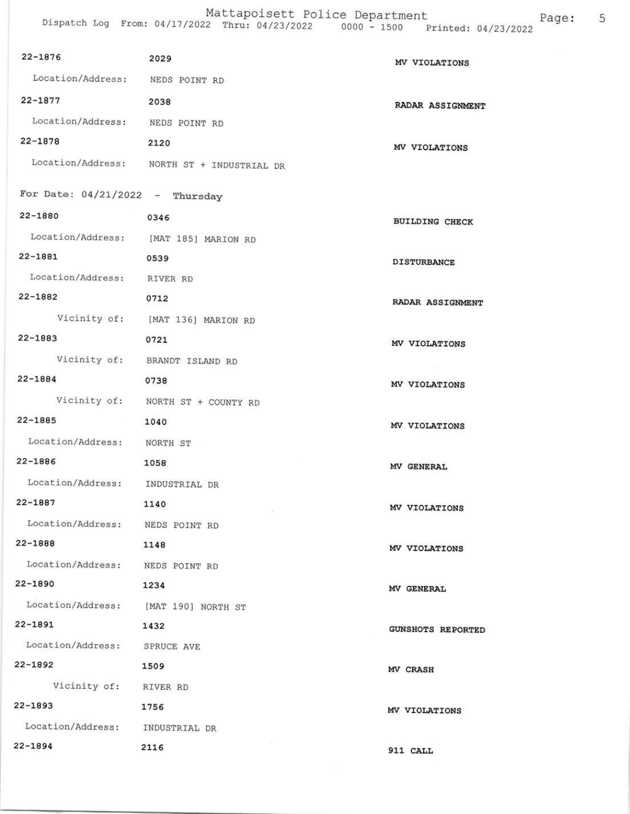| 22-1876                              | 2029                                       | MV VIOLATIONS            |
|--------------------------------------|--------------------------------------------|--------------------------|
| Location/Address: NEDS POINT RD      |                                            |                          |
| $22 - 1877$                          | 2038                                       | RADAR ASSIGNMENT         |
| Location/Address: NEDS POINT RD      |                                            |                          |
| $22 - 1878$                          | 2120                                       | MV VIOLATIONS            |
|                                      | Location/Address: NORTH ST + INDUSTRIAL DR |                          |
|                                      |                                            |                          |
| For Date: $04/21/2022 -$ Thursday    |                                            |                          |
| $22 - 1880$                          | 0346                                       | <b>BUILDING CHECK</b>    |
|                                      | Location/Address: [MAT 185] MARION RD      |                          |
| 22-1881                              | 0539                                       | <b>DISTURBANCE</b>       |
| Location/Address: RIVER RD           |                                            |                          |
| $22 - 1882$                          | 0712                                       | RADAR ASSIGNMENT         |
|                                      | Vicinity of: [MAT 136] MARION RD           |                          |
| 22-1883                              | 0721                                       | MV VIOLATIONS            |
|                                      | Vicinity of: BRANDT ISLAND RD              |                          |
| $22 - 1884$                          | 0738                                       | MV VIOLATIONS            |
|                                      | Vicinity of: NORTH ST + COUNTY RD          |                          |
| 22-1885                              | 1040                                       | MV VIOLATIONS            |
| Location/Address: NORTH ST           |                                            |                          |
| 22-1886                              | 1058                                       | MV GENERAL               |
| Location/Address: INDUSTRIAL DR      |                                            |                          |
| 22-1887                              | 1140<br>- 1                                | MV VIOLATIONS            |
| Location/Address: NEDS POINT RD      |                                            |                          |
| 22-1888                              | 1148                                       | MV VIOLATIONS            |
| Location/Address: NEDS POINT RD      |                                            |                          |
| $22 - 1890$                          | 1234                                       | MV GENERAL               |
| Location/Address: [MAT 190] NORTH ST |                                            |                          |
| $22 - 1891$                          | 1432                                       | <b>GUNSHOTS REPORTED</b> |
| Location/Address:                    | SPRUCE AVE                                 |                          |
| 22-1892                              | 1509                                       | MV CRASH                 |
| Vicinity of: RIVER RD                |                                            |                          |
| 22-1893                              | 1756                                       | MV VIOLATIONS            |
| Location/Address: INDUSTRIAL DR      |                                            |                          |
| 22-1894                              | 2116                                       | 911 CALL                 |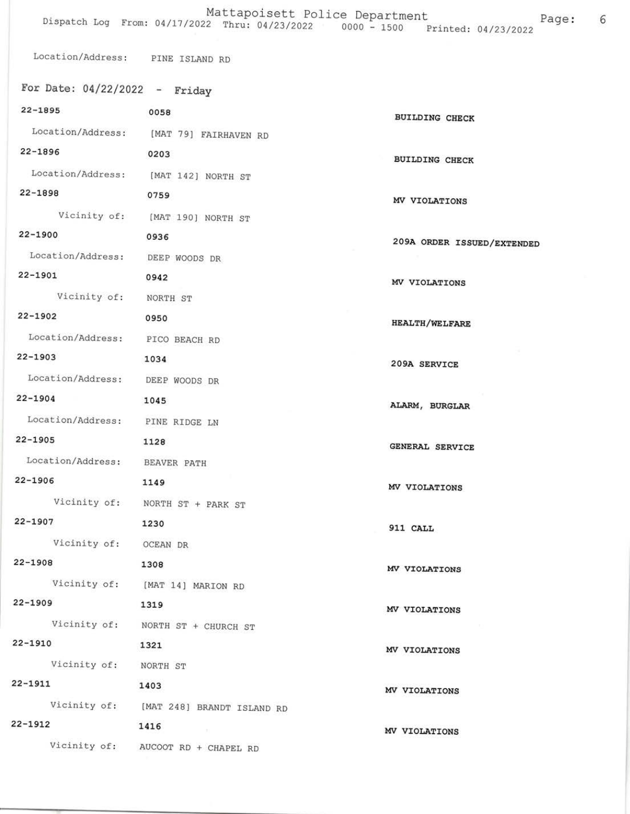Location/Address: PINE ISLAND RD

| For Date: $04/22/2022 -$ Friday |                                         |                            |
|---------------------------------|-----------------------------------------|----------------------------|
| 22-1895                         | 0058                                    | <b>BUILDING CHECK</b>      |
|                                 | Location/Address: [MAT 79] FAIRHAVEN RD |                            |
| 22-1896 0203                    |                                         | <b>BUILDING CHECK</b>      |
|                                 | Location/Address: [MAT 142] NORTH ST    |                            |
| 22-1898                         | 0759                                    | MV VIOLATIONS              |
|                                 | Vicinity of: [MAT 190] NORTH ST         |                            |
| $22 - 1900$                     | 0936                                    | 209A ORDER ISSUED/EXTENDED |
| Location/Address: DEEP WOODS DR |                                         |                            |
| 22-1901<br>0942                 |                                         | MV VIOLATIONS              |
| Vicinity of: NORTH ST           |                                         |                            |
| $22 - 1902$                     | 0950                                    | <b>HEALTH/WELFARE</b>      |
| Location/Address: PICO BEACH RD |                                         |                            |
| $22 - 1903$                     | 1034                                    | 209A SERVICE               |
| Location/Address: DEEP WOODS DR |                                         |                            |
| $22 - 1904$<br>1045             |                                         | ALARM, BURGLAR             |
| Location/Address: PINE RIDGE LN |                                         |                            |
| $22 - 1905$                     | 1128                                    | GENERAL SERVICE            |
| Location/Address: BEAVER PATH   |                                         |                            |
| $22 - 1906$                     | 1149                                    | MV VIOLATIONS              |
|                                 | Vicinity of: NORTH ST + PARK ST         |                            |
| $22 - 1907$                     | 1230                                    | 911 CALL                   |
| Vicinity of: OCEAN DR           |                                         |                            |
| $22 - 1908$                     | 1308                                    | MV VIOLATIONS              |
|                                 | Vicinity of: [MAT 14] MARION RD         |                            |
| $22 - 1909$                     | 1319                                    | MV VIOLATIONS              |
|                                 | Vicinity of: NORTH ST + CHURCH ST       |                            |
| $22 - 1910$                     | 1321                                    | MV VIOLATIONS              |
| Vicinity of: NORTH ST           |                                         |                            |
| $22 - 1911$                     | 1403                                    | MV VIOLATIONS              |
|                                 | Vicinity of: [MAT 248] BRANDT ISLAND RD |                            |
| $22 - 1912$                     | 1416                                    | MV VIOLATIONS              |
|                                 | Vicinity of: AUCOOT RD + CHAPEL RD      |                            |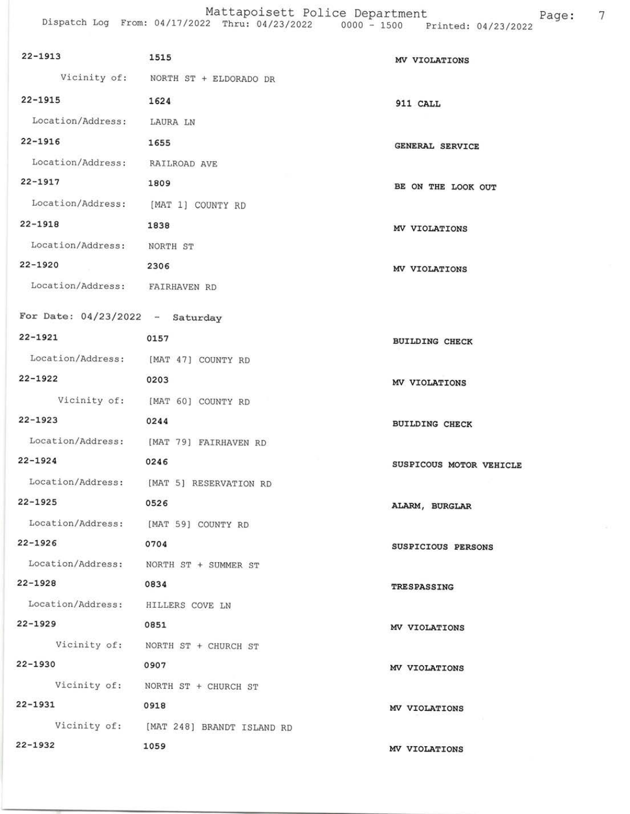Mattapoisett Police Department<br>Dispatch Log From: 04/17/2022 Thru: 04/23/2022 0000 - 1500 Printed: 04/23/2022 Page: 7

| $22 - 1913$                            | 1515                                     | MV VIOLATIONS           |
|----------------------------------------|------------------------------------------|-------------------------|
|                                        | Vicinity of: NORTH ST + ELDORADO DR      |                         |
| $22 - 1915$                            | 1624                                     | 911 CALL                |
| Location/Address: LAURA LN             |                                          |                         |
| $22 - 1916$                            | 1655                                     | <b>GENERAL SERVICE</b>  |
| Location/Address: RAILROAD AVE         |                                          |                         |
| $22 - 1917$                            | 1809                                     | BE ON THE LOOK OUT      |
| Location/Address: [MAT 1] COUNTY RD    |                                          |                         |
| $22 - 1918$                            | 1838                                     | MV VIOLATIONS           |
| Location/Address: NORTH ST             |                                          |                         |
| 22-1920                                | 2306                                     | MV VIOLATIONS           |
| Location/Address: FAIRHAVEN RD         |                                          |                         |
| For Date: $04/23/2022 -$ Saturday      |                                          |                         |
| 22-1921                                | 0157                                     |                         |
| Location/Address: [MAT 47] COUNTY RD   |                                          | <b>BUILDING CHECK</b>   |
| 22-1922                                | 0203                                     |                         |
|                                        | Vicinity of: [MAT 60] COUNTY RD          | MV VIOLATIONS           |
| 22-1923                                | 0244                                     |                         |
|                                        | Location/Address: [MAT 79] FAIRHAVEN RD  | <b>BUILDING CHECK</b>   |
| $22 - 1924$                            | 0246                                     |                         |
|                                        | Location/Address: [MAT 5] RESERVATION RD | SUSPICOUS MOTOR VEHICLE |
| 22-1925 0526                           |                                          |                         |
| Location/Address: [MAT 59] COUNTY RD   |                                          | ALARM, BURGLAR          |
| $22 - 1926$                            | 0704                                     |                         |
| Location/Address: NORTH ST + SUMMER ST |                                          | SUSPICIOUS PERSONS      |
| $22 - 1928$                            | 0834                                     | TRESPASSING             |
| Location/Address: HILLERS COVE LN      |                                          |                         |
| 22-1929                                | 0851                                     | MV VIOLATIONS           |
|                                        | Vicinity of: NORTH ST + CHURCH ST        |                         |
| 22-1930                                | 0907                                     | MV VIOLATIONS           |
|                                        | Vicinity of: NORTH ST + CHURCH ST        |                         |
| $22 - 1931$                            | 0918                                     | MV VIOLATIONS           |
|                                        | Vicinity of: [MAT 248] BRANDT ISLAND RD  |                         |
| $22 - 1932$                            | 1059                                     | MV VIOLATIONS           |